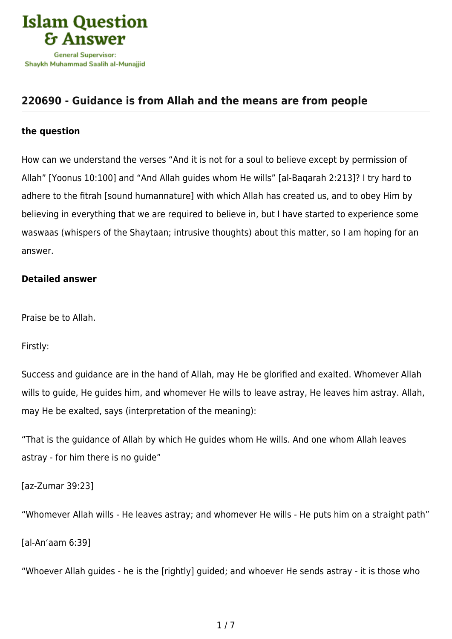

## **[220690 - Guidance is from Allah and the means are from people](https://islamqa.com/en/answers/220690/guidance-is-from-allah-and-the-means-are-from-people)**

## **the question**

How can we understand the verses "And it is not for a soul to believe except by permission of Allah" [Yoonus 10:100] and "And Allah guides whom He wills" [al-Baqarah 2:213]? I try hard to adhere to the fitrah [sound humannature] with which Allah has created us, and to obey Him by believing in everything that we are required to believe in, but I have started to experience some waswaas (whispers of the Shaytaan; intrusive thoughts) about this matter, so I am hoping for an answer.

## **Detailed answer**

Praise be to Allah.

Firstly:

Success and guidance are in the hand of Allah, may He be glorified and exalted. Whomever Allah wills to guide, He guides him, and whomever He wills to leave astray, He leaves him astray. Allah, may He be exalted, says (interpretation of the meaning):

"That is the guidance of Allah by which He guides whom He wills. And one whom Allah leaves astray - for him there is no guide"

[az-Zumar 39:23]

"Whomever Allah wills - He leaves astray; and whomever He wills - He puts him on a straight path"

[al-An'aam 6:39]

"Whoever Allah guides - he is the [rightly] guided; and whoever He sends astray - it is those who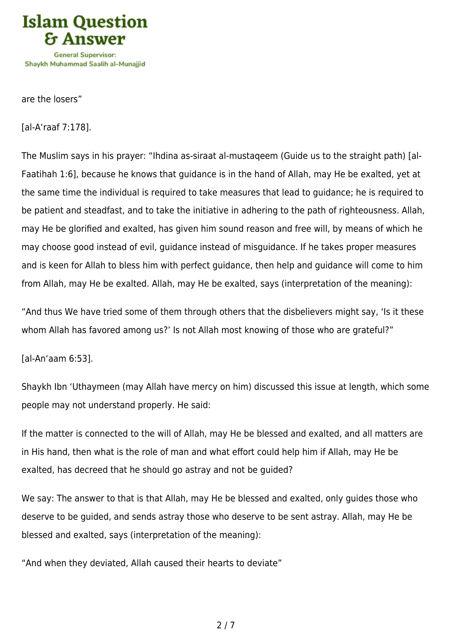

are the losers"

[al-A'raaf 7:178].

The Muslim says in his prayer: "Ihdina as-siraat al-mustaqeem (Guide us to the straight path) [al-Faatihah 1:6], because he knows that guidance is in the hand of Allah, may He be exalted, yet at the same time the individual is required to take measures that lead to guidance; he is required to be patient and steadfast, and to take the initiative in adhering to the path of righteousness. Allah, may He be glorified and exalted, has given him sound reason and free will, by means of which he may choose good instead of evil, guidance instead of misguidance. If he takes proper measures and is keen for Allah to bless him with perfect guidance, then help and guidance will come to him from Allah, may He be exalted. Allah, may He be exalted, says (interpretation of the meaning):

"And thus We have tried some of them through others that the disbelievers might say, 'Is it these whom Allah has favored among us?' Is not Allah most knowing of those who are grateful?"

[al-An'aam 6:53].

Shaykh Ibn 'Uthaymeen (may Allah have mercy on him) discussed this issue at length, which some people may not understand properly. He said:

If the matter is connected to the will of Allah, may He be blessed and exalted, and all matters are in His hand, then what is the role of man and what effort could help him if Allah, may He be exalted, has decreed that he should go astray and not be guided?

We say: The answer to that is that Allah, may He be blessed and exalted, only guides those who deserve to be guided, and sends astray those who deserve to be sent astray. Allah, may He be blessed and exalted, says (interpretation of the meaning):

"And when they deviated, Allah caused their hearts to deviate"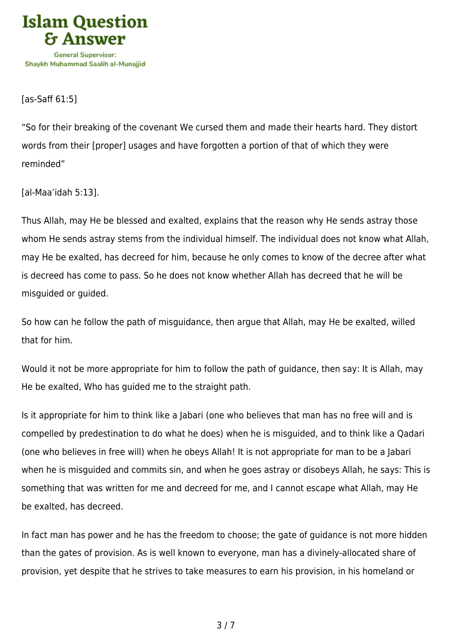

[as-Saff 61:5]

"So for their breaking of the covenant We cursed them and made their hearts hard. They distort words from their [proper] usages and have forgotten a portion of that of which they were reminded"

[al-Maa'idah 5:13].

Thus Allah, may He be blessed and exalted, explains that the reason why He sends astray those whom He sends astray stems from the individual himself. The individual does not know what Allah, may He be exalted, has decreed for him, because he only comes to know of the decree after what is decreed has come to pass. So he does not know whether Allah has decreed that he will be misguided or guided.

So how can he follow the path of misguidance, then argue that Allah, may He be exalted, willed that for him.

Would it not be more appropriate for him to follow the path of guidance, then say: It is Allah, may He be exalted, Who has guided me to the straight path.

Is it appropriate for him to think like a Jabari (one who believes that man has no free will and is compelled by predestination to do what he does) when he is misguided, and to think like a Qadari (one who believes in free will) when he obeys Allah! It is not appropriate for man to be a Jabari when he is misguided and commits sin, and when he goes astray or disobeys Allah, he says: This is something that was written for me and decreed for me, and I cannot escape what Allah, may He be exalted, has decreed.

In fact man has power and he has the freedom to choose; the gate of guidance is not more hidden than the gates of provision. As is well known to everyone, man has a divinely-allocated share of provision, yet despite that he strives to take measures to earn his provision, in his homeland or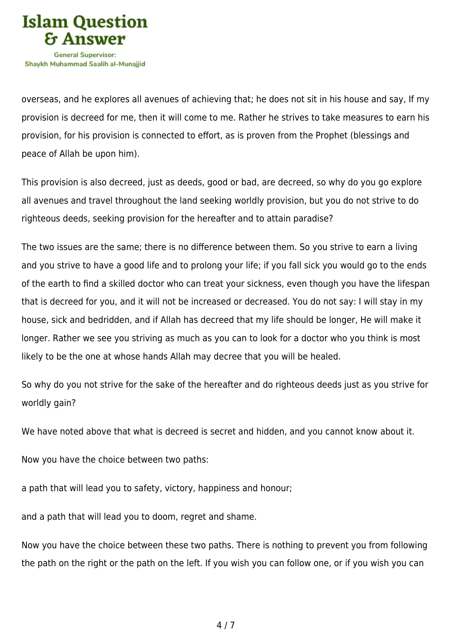

overseas, and he explores all avenues of achieving that; he does not sit in his house and say, If my provision is decreed for me, then it will come to me. Rather he strives to take measures to earn his provision, for his provision is connected to effort, as is proven from the Prophet (blessings and peace of Allah be upon him).

This provision is also decreed, just as deeds, good or bad, are decreed, so why do you go explore all avenues and travel throughout the land seeking worldly provision, but you do not strive to do righteous deeds, seeking provision for the hereafter and to attain paradise?

The two issues are the same; there is no difference between them. So you strive to earn a living and you strive to have a good life and to prolong your life; if you fall sick you would go to the ends of the earth to find a skilled doctor who can treat your sickness, even though you have the lifespan that is decreed for you, and it will not be increased or decreased. You do not say: I will stay in my house, sick and bedridden, and if Allah has decreed that my life should be longer, He will make it longer. Rather we see you striving as much as you can to look for a doctor who you think is most likely to be the one at whose hands Allah may decree that you will be healed.

So why do you not strive for the sake of the hereafter and do righteous deeds just as you strive for worldly gain?

We have noted above that what is decreed is secret and hidden, and you cannot know about it.

Now you have the choice between two paths:

a path that will lead you to safety, victory, happiness and honour;

and a path that will lead you to doom, regret and shame.

Now you have the choice between these two paths. There is nothing to prevent you from following the path on the right or the path on the left. If you wish you can follow one, or if you wish you can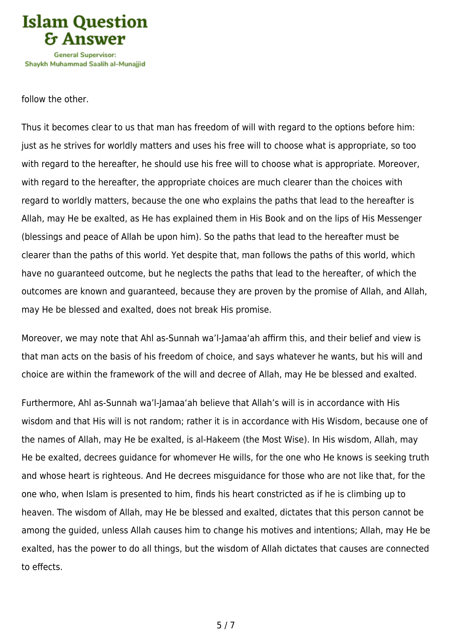

follow the other.

Thus it becomes clear to us that man has freedom of will with regard to the options before him: just as he strives for worldly matters and uses his free will to choose what is appropriate, so too with regard to the hereafter, he should use his free will to choose what is appropriate. Moreover, with regard to the hereafter, the appropriate choices are much clearer than the choices with regard to worldly matters, because the one who explains the paths that lead to the hereafter is Allah, may He be exalted, as He has explained them in His Book and on the lips of His Messenger (blessings and peace of Allah be upon him). So the paths that lead to the hereafter must be clearer than the paths of this world. Yet despite that, man follows the paths of this world, which have no guaranteed outcome, but he neglects the paths that lead to the hereafter, of which the outcomes are known and guaranteed, because they are proven by the promise of Allah, and Allah, may He be blessed and exalted, does not break His promise.

Moreover, we may note that Ahl as-Sunnah wa'l-Jamaa'ah affirm this, and their belief and view is that man acts on the basis of his freedom of choice, and says whatever he wants, but his will and choice are within the framework of the will and decree of Allah, may He be blessed and exalted.

Furthermore, Ahl as-Sunnah wa'l-Jamaa'ah believe that Allah's will is in accordance with His wisdom and that His will is not random; rather it is in accordance with His Wisdom, because one of the names of Allah, may He be exalted, is al-Hakeem (the Most Wise). In His wisdom, Allah, may He be exalted, decrees guidance for whomever He wills, for the one who He knows is seeking truth and whose heart is righteous. And He decrees misguidance for those who are not like that, for the one who, when Islam is presented to him, finds his heart constricted as if he is climbing up to heaven. The wisdom of Allah, may He be blessed and exalted, dictates that this person cannot be among the guided, unless Allah causes him to change his motives and intentions; Allah, may He be exalted, has the power to do all things, but the wisdom of Allah dictates that causes are connected to effects.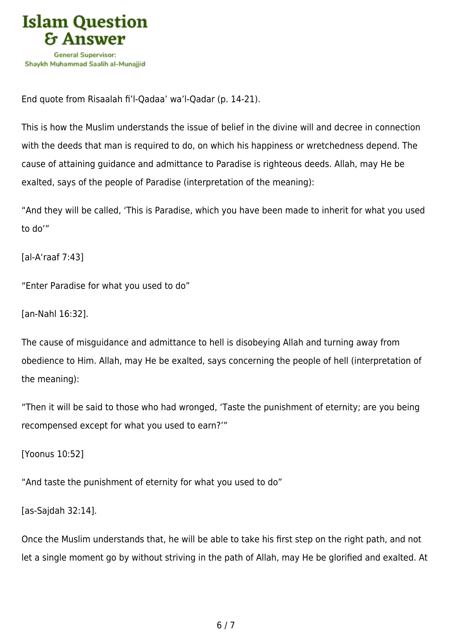

End quote from Risaalah fi'l-Qadaa' wa'l-Qadar (p. 14-21).

This is how the Muslim understands the issue of belief in the divine will and decree in connection with the deeds that man is required to do, on which his happiness or wretchedness depend. The cause of attaining guidance and admittance to Paradise is righteous deeds. Allah, may He be exalted, says of the people of Paradise (interpretation of the meaning):

"And they will be called, 'This is Paradise, which you have been made to inherit for what you used to do'"

[al-A'raaf 7:43]

"Enter Paradise for what you used to do"

[an-Nahl 16:32].

The cause of misguidance and admittance to hell is disobeying Allah and turning away from obedience to Him. Allah, may He be exalted, says concerning the people of hell (interpretation of the meaning):

"Then it will be said to those who had wronged, 'Taste the punishment of eternity; are you being recompensed except for what you used to earn?'"

[Yoonus 10:52]

"And taste the punishment of eternity for what you used to do"

[as-Sajdah 32:14].

Once the Muslim understands that, he will be able to take his first step on the right path, and not let a single moment go by without striving in the path of Allah, may He be glorified and exalted. At